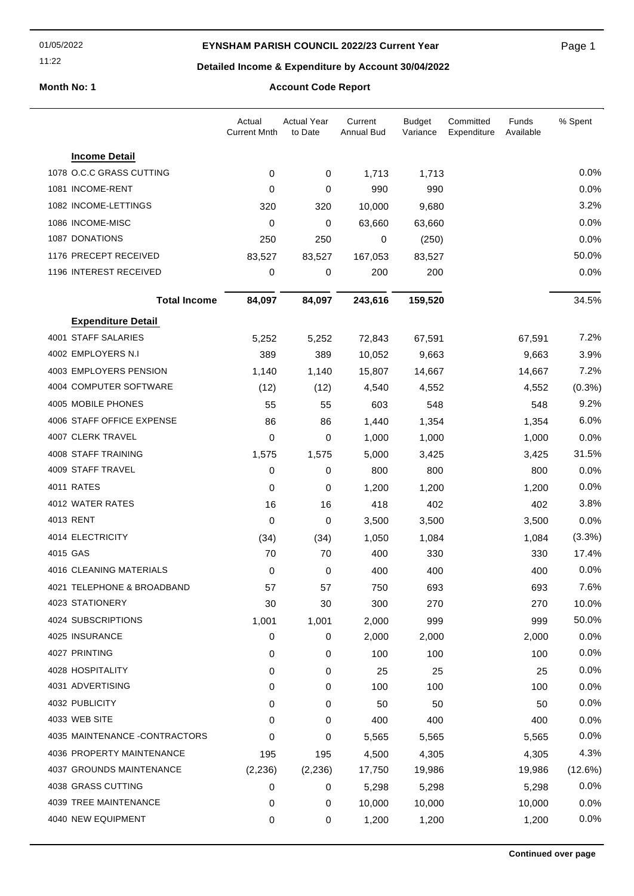01/05/2022

### **EYNSHAM PARISH COUNCIL 2022/23 Current Year**

Page 1

11:22

# **Detailed Income & Expenditure by Account 30/04/2022**

**Month No: 1 Account Code Report**

|                                | Actual<br><b>Current Mnth</b> | <b>Actual Year</b><br>to Date | Current<br>Annual Bud | <b>Budget</b><br>Variance | Committed<br>Expenditure | Funds<br>Available | % Spent   |
|--------------------------------|-------------------------------|-------------------------------|-----------------------|---------------------------|--------------------------|--------------------|-----------|
| <b>Income Detail</b>           |                               |                               |                       |                           |                          |                    |           |
| 1078 O.C.C GRASS CUTTING       | 0                             | 0                             | 1,713                 | 1,713                     |                          |                    | 0.0%      |
| 1081 INCOME-RENT               | 0                             | 0                             | 990                   | 990                       |                          |                    | 0.0%      |
| 1082 INCOME-LETTINGS           | 320                           | 320                           | 10,000                | 9,680                     |                          |                    | 3.2%      |
| 1086 INCOME-MISC               | 0                             | 0                             | 63,660                | 63,660                    |                          |                    | 0.0%      |
| 1087 DONATIONS                 | 250                           | 250                           | 0                     | (250)                     |                          |                    | 0.0%      |
| 1176 PRECEPT RECEIVED          | 83,527                        | 83,527                        | 167,053               | 83,527                    |                          |                    | 50.0%     |
| 1196 INTEREST RECEIVED         | 0                             | 0                             | 200                   | 200                       |                          |                    | 0.0%      |
| <b>Total Income</b>            | 84,097                        | 84,097                        | 243,616               | 159,520                   |                          |                    | 34.5%     |
| <b>Expenditure Detail</b>      |                               |                               |                       |                           |                          |                    |           |
| 4001 STAFF SALARIES            | 5,252                         | 5,252                         | 72,843                | 67,591                    |                          | 67,591             | 7.2%      |
| 4002 EMPLOYERS N.I.            | 389                           | 389                           | 10,052                | 9,663                     |                          | 9,663              | 3.9%      |
| 4003 EMPLOYERS PENSION         | 1,140                         | 1,140                         | 15,807                | 14,667                    |                          | 14,667             | 7.2%      |
| 4004 COMPUTER SOFTWARE         | (12)                          | (12)                          | 4,540                 | 4,552                     |                          | 4,552              | $(0.3\%)$ |
| 4005 MOBILE PHONES             | 55                            | 55                            | 603                   | 548                       |                          | 548                | 9.2%      |
| 4006 STAFF OFFICE EXPENSE      | 86                            | 86                            | 1,440                 | 1,354                     |                          | 1,354              | 6.0%      |
| 4007 CLERK TRAVEL              | 0                             | 0                             | 1,000                 | 1,000                     |                          | 1,000              | 0.0%      |
| 4008 STAFF TRAINING            | 1,575                         | 1,575                         | 5,000                 | 3,425                     |                          | 3,425              | 31.5%     |
| 4009 STAFF TRAVEL              | 0                             | 0                             | 800                   | 800                       |                          | 800                | 0.0%      |
| 4011 RATES                     | 0                             | 0                             | 1,200                 | 1,200                     |                          | 1,200              | 0.0%      |
| 4012 WATER RATES               | 16                            | 16                            | 418                   | 402                       |                          | 402                | 3.8%      |
| 4013 RENT                      | 0                             | 0                             | 3,500                 | 3,500                     |                          | 3,500              | 0.0%      |
| 4014 ELECTRICITY               | (34)                          | (34)                          | 1,050                 | 1,084                     |                          | 1,084              | (3.3%)    |
| 4015 GAS                       | 70                            | 70                            | 400                   | 330                       |                          | 330                | 17.4%     |
| <b>4016 CLEANING MATERIALS</b> | 0                             | 0                             | 400                   | 400                       |                          | 400                | 0.0%      |
| 4021 TELEPHONE & BROADBAND     | 57                            | 57                            | 750                   | 693                       |                          | 693                | 7.6%      |
| 4023 STATIONERY                | 30                            | 30                            | 300                   | 270                       |                          | 270                | 10.0%     |
| 4024 SUBSCRIPTIONS             | 1,001                         | 1,001                         | 2,000                 | 999                       |                          | 999                | 50.0%     |
| 4025 INSURANCE                 | 0                             | 0                             | 2,000                 | 2,000                     |                          | 2,000              | 0.0%      |
| 4027 PRINTING                  | 0                             | 0                             | 100                   | 100                       |                          | 100                | 0.0%      |
| 4028 HOSPITALITY               | 0                             | 0                             | 25                    | 25                        |                          | 25                 | 0.0%      |
| 4031 ADVERTISING               | 0                             | 0                             | 100                   | 100                       |                          | 100                | 0.0%      |
| 4032 PUBLICITY                 | 0                             | 0                             | 50                    | 50                        |                          | 50                 | 0.0%      |
| 4033 WEB SITE                  | 0                             | 0                             | 400                   | 400                       |                          | 400                | 0.0%      |
| 4035 MAINTENANCE -CONTRACTORS  | 0                             | 0                             | 5,565                 | 5,565                     |                          | 5,565              | 0.0%      |
| 4036 PROPERTY MAINTENANCE      | 195                           | 195                           | 4,500                 | 4,305                     |                          | 4,305              | 4.3%      |
| 4037 GROUNDS MAINTENANCE       | (2, 236)                      | (2, 236)                      | 17,750                | 19,986                    |                          | 19,986             | (12.6%)   |
| 4038 GRASS CUTTING             | 0                             | 0                             | 5,298                 | 5,298                     |                          | 5,298              | 0.0%      |
| 4039 TREE MAINTENANCE          | 0                             | 0                             | 10,000                | 10,000                    |                          | 10,000             | 0.0%      |
| 4040 NEW EQUIPMENT             | 0                             | 0                             | 1,200                 | 1,200                     |                          | 1,200              | 0.0%      |